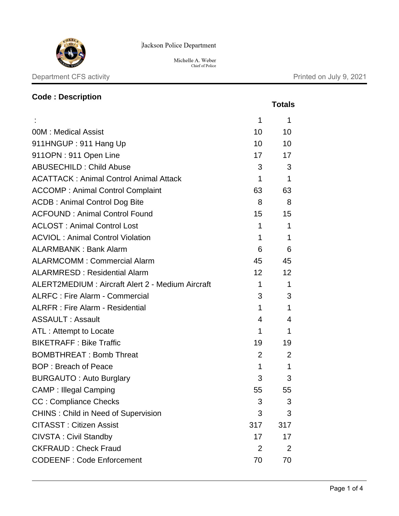

Jackson Police Department

Michelle A. Weber Chief of Police

# **Code : Description Totals** :  $1 \t 1$ 00M : Medical Assist 10 10 10 911HNGUP : 911 Hang Up 10 10 10 10 911OPN : 911 Open Line 17 17 17 17 ABUSECHILD : Child Abuse 3 3 3 3 ACATTACK : Animal Control Animal Attack 1 1 1 1 1 ACCOMP : Animal Control Complaint 63 63 63 ACDB : Animal Control Dog Bite 8 8 8 8 ACFOUND : Animal Control Found 15 15 15 ACLOST: Animal Control Lost 1 1 1 1 1 ACVIOL : Animal Control Violation 1 1 ALARMBANK : Bank Alarm 6 6 6 6 ALARMCOMM : Commercial Alarm 45 45 45 ALARMRESD: Residential Alarm 12 12 12 ALERT2MEDIUM : Aircraft Alert 2 - Medium Aircraft 1 1 1 ALRFC : Fire Alarm - Commercial 3 3 3 3 ALRFR : Fire Alarm - Residential 1 1 ASSAULT : Assault 4 4 4 4 ATL : Attempt to Locate 1 1 BIKETRAFF : Bike Traffic 19 19 19 19 BOMBTHREAT: Bomb Threat 2 2 2 BOP : Breach of Peace 1 1 BURGAUTO: Auto Burglary **3** 3 3 CAMP : Illegal Camping 65 55 55 55 CC : Compliance Checks 3 3 3 CHINS : Child in Need of Supervision 3 3 3 3 CITASST : Citizen Assist 317 317 CIVSTA: Civil Standby 17 17 17 CKFRAUD : Check Fraud 2 2 2 CODEENF : Code Enforcement 70 70 70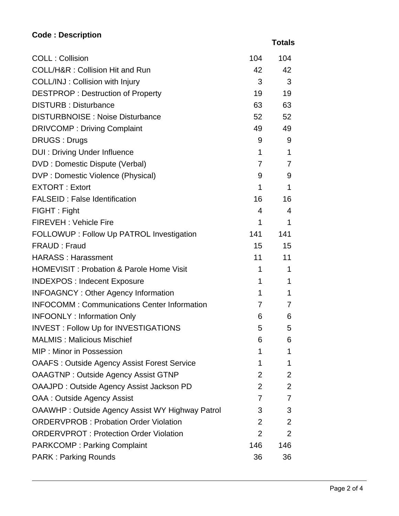# **Code : Description**

 **Totals**

| <b>COLL: Collision</b>                                 | 104            | 104            |
|--------------------------------------------------------|----------------|----------------|
| <b>COLL/H&amp;R: Collision Hit and Run</b>             | 42             | 42             |
| COLL/INJ: Collision with Injury                        | 3 <sup>1</sup> | 3              |
| <b>DESTPROP: Destruction of Property</b>               | 19             | 19             |
| <b>DISTURB: Disturbance</b>                            | 63             | 63             |
| <b>DISTURBNOISE: Noise Disturbance</b>                 | 52             | 52             |
| <b>DRIVCOMP: Driving Complaint</b>                     | 49             | 49             |
| <b>DRUGS: Drugs</b>                                    | 9              | 9              |
| <b>DUI: Driving Under Influence</b>                    | $\mathbf 1$    | $\mathbf 1$    |
| DVD : Domestic Dispute (Verbal)                        | 7              | 7              |
| DVP : Domestic Violence (Physical)                     | 9              | 9              |
| <b>EXTORT: Extort</b>                                  | $\mathbf 1$    | 1              |
| <b>FALSEID: False Identification</b>                   | 16             | 16             |
| FIGHT: Fight                                           | 4              | 4              |
| <b>FIREVEH: Vehicle Fire</b>                           | $\mathbf 1$    | $\mathbf 1$    |
| FOLLOWUP : Follow Up PATROL Investigation              | 141            | 141            |
| FRAUD: Fraud                                           | 15             | 15             |
| <b>HARASS: Harassment</b>                              | 11             | 11             |
| <b>HOMEVISIT: Probation &amp; Parole Home Visit</b>    | 1              | 1              |
| <b>INDEXPOS: Indecent Exposure</b>                     | 1              | 1              |
| <b>INFOAGNCY: Other Agency Information</b>             | $\mathbf 1$    | 1              |
| <b>INFOCOMM: Communications Center Information</b>     | 7              | 7              |
| <b>INFOONLY: Information Only</b>                      | 6              | 6              |
| <b>INVEST: Follow Up for INVESTIGATIONS</b>            | 5              | 5              |
| <b>MALMIS: Malicious Mischief</b>                      | 6              | 6              |
| <b>MIP: Minor in Possession</b>                        | 1              | 1              |
| <b>OAAFS: Outside Agency Assist Forest Service</b>     | 1              | 1              |
| <b>OAAGTNP: Outside Agency Assist GTNP</b>             | $\overline{2}$ | $\overline{2}$ |
| OAAJPD: Outside Agency Assist Jackson PD               | $\overline{2}$ | $\overline{2}$ |
| OAA : Outside Agency Assist                            | 7              | $\overline{7}$ |
| <b>OAAWHP: Outside Agency Assist WY Highway Patrol</b> | 3              | 3              |
| <b>ORDERVPROB: Probation Order Violation</b>           | 2              | 2              |
| <b>ORDERVPROT: Protection Order Violation</b>          | $\overline{2}$ | $\overline{2}$ |
| <b>PARKCOMP: Parking Complaint</b>                     | 146            | 146            |
| <b>PARK: Parking Rounds</b>                            | 36             | 36             |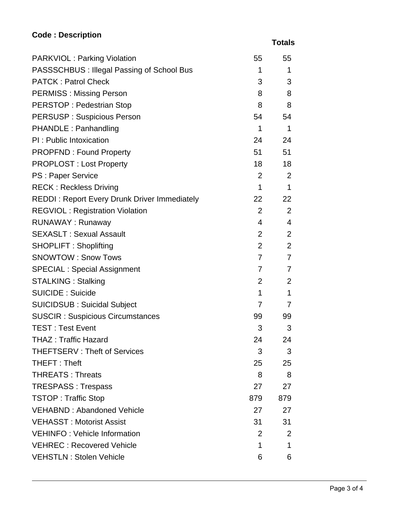# **Code : Description**

 **Totals**

| <b>PARKVIOL: Parking Violation</b>                  | 55             | 55             |
|-----------------------------------------------------|----------------|----------------|
| PASSSCHBUS : Illegal Passing of School Bus          | 1              | 1              |
| <b>PATCK: Patrol Check</b>                          | 3              | 3              |
| <b>PERMISS: Missing Person</b>                      | 8              | 8              |
| <b>PERSTOP: Pedestrian Stop</b>                     | 8              | 8              |
| <b>PERSUSP: Suspicious Person</b>                   | 54             | 54             |
| PHANDLE: Panhandling                                | $\mathbf{1}$   | $\mathbf{1}$   |
| PI: Public Intoxication                             |                | 24<br>24       |
| <b>PROPFND: Found Property</b>                      |                | 51 —<br>51     |
| <b>PROPLOST: Lost Property</b>                      | 18             | 18             |
| PS : Paper Service                                  | $2^{\circ}$    | 2              |
| <b>RECK: Reckless Driving</b>                       | $\mathbf{1}$   | 1              |
| <b>REDDI: Report Every Drunk Driver Immediately</b> | 22             | 22             |
| <b>REGVIOL: Registration Violation</b>              | $\overline{2}$ | 2              |
| <b>RUNAWAY: Runaway</b>                             | $\overline{4}$ | $\overline{4}$ |
| <b>SEXASLT: Sexual Assault</b>                      | $\overline{2}$ | 2              |
| <b>SHOPLIFT: Shoplifting</b>                        | $\overline{2}$ | 2              |
| <b>SNOWTOW: Snow Tows</b>                           | $\overline{7}$ | 7              |
| <b>SPECIAL: Special Assignment</b>                  | $\overline{7}$ | 7              |
| <b>STALKING: Stalking</b>                           | $\overline{2}$ | 2              |
| <b>SUICIDE: Suicide</b>                             | $\mathbf{1}$   | $\mathbf 1$    |
| <b>SUICIDSUB: Suicidal Subject</b>                  | 7              | $\overline{7}$ |
| <b>SUSCIR: Suspicious Circumstances</b>             | 99 —           | 99             |
| <b>TEST: Test Event</b>                             | 3              | 3              |
| <b>THAZ: Traffic Hazard</b>                         | 24             | 24             |
| <b>THEFTSERV: Theft of Services</b>                 | 3              | 3              |
| THEFT: Theft                                        | 25             | 25             |
| <b>THREATS: Threats</b>                             | 8              | 8              |
| <b>TRESPASS: Trespass</b>                           | 27             | 27             |
| <b>TSTOP: Traffic Stop</b>                          | 879            | 879            |
| <b>VEHABND: Abandoned Vehicle</b>                   | 27             | 27             |
| <b>VEHASST: Motorist Assist</b>                     | 31             | 31             |
| <b>VEHINFO: Vehicle Information</b>                 | $\overline{2}$ | 2              |
| <b>VEHREC: Recovered Vehicle</b>                    | 1              | 1              |
| <b>VEHSTLN: Stolen Vehicle</b>                      | 6              | 6              |
|                                                     |                |                |